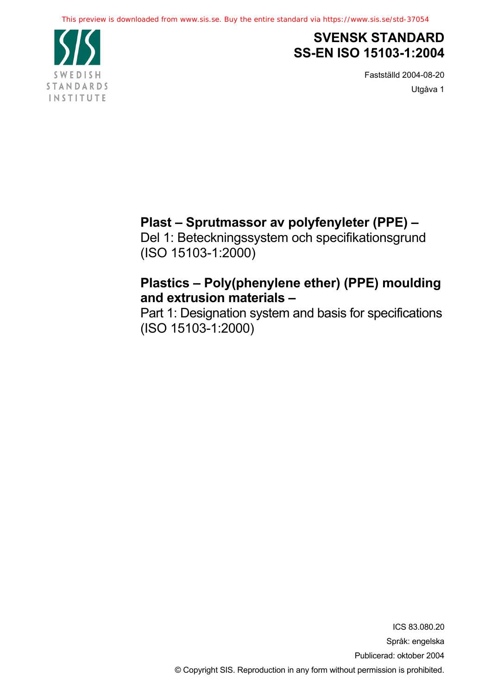

# **SVENSK STANDARD SS-EN ISO 15103-1:2004**

Fastställd 2004-08-20 Utgåva 1

# **Plast – Sprutmassor av polyfenyleter (PPE) –**

Del 1: Beteckningssystem och specifikationsgrund (ISO 15103-1:2000)

# **Plastics – Poly(phenylene ether) (PPE) moulding and extrusion materials –**

Part 1: Designation system and basis for specifications (ISO 15103-1:2000)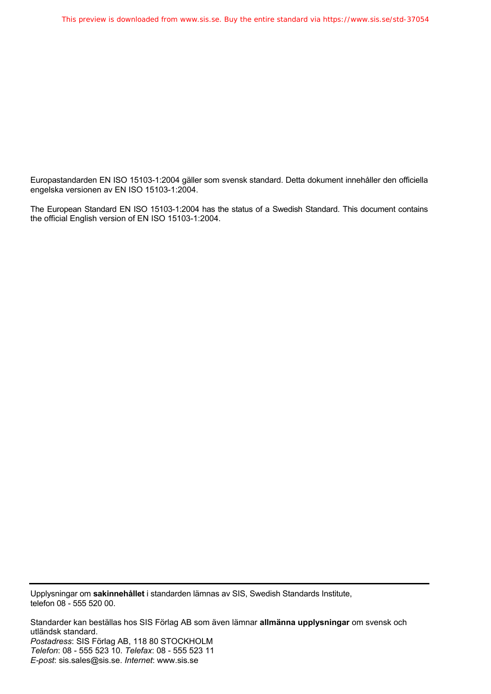Europastandarden EN ISO 15103-1:2004 gäller som svensk standard. Detta dokument innehåller den officiella engelska versionen av EN ISO 15103-1:2004.

The European Standard EN ISO 15103-1:2004 has the status of a Swedish Standard. This document contains the official English version of EN ISO 15103-1:2004.

Upplysningar om **sakinnehållet** i standarden lämnas av SIS, Swedish Standards Institute, telefon 08 - 555 520 00.

Standarder kan beställas hos SIS Förlag AB som även lämnar **allmänna upplysningar** om svensk och utländsk standard. *Postadress*: SIS Förlag AB, 118 80 STOCKHOLM *Telefon*: 08 - 555 523 10. *Telefax*: 08 - 555 523 11 *E-post*: sis.sales@sis.se. *Internet*: www.sis.se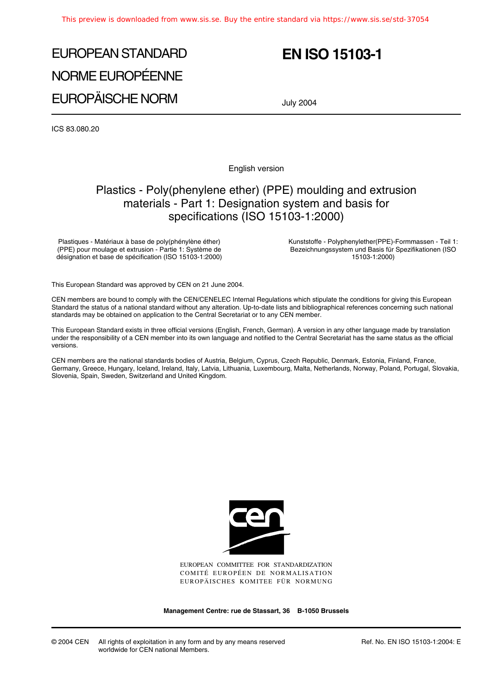# EUROPEAN STANDARD NORME EUROPÉENNE EUROPÄISCHE NORM

# **EN ISO 15103-1**

July 2004

ICS 83.080.20

English version

### Plastics - Poly(phenylene ether) (PPE) moulding and extrusion materials - Part 1: Designation system and basis for specifications (ISO 15103-1:2000)

Plastiques - Matériaux à base de poly(phénylène éther) (PPE) pour moulage et extrusion - Partie 1: Système de désignation et base de spécification (ISO 15103-1:2000) Kunststoffe - Polyphenylether(PPE)-Formmassen - Teil 1: Bezeichnungssystem und Basis für Spezifikationen (ISO 15103-1:2000)

This European Standard was approved by CEN on 21 June 2004.

CEN members are bound to comply with the CEN/CENELEC Internal Regulations which stipulate the conditions for giving this European Standard the status of a national standard without any alteration. Up-to-date lists and bibliographical references concerning such national standards may be obtained on application to the Central Secretariat or to any CEN member.

This European Standard exists in three official versions (English, French, German). A version in any other language made by translation under the responsibility of a CEN member into its own language and notified to the Central Secretariat has the same status as the official versions.

CEN members are the national standards bodies of Austria, Belgium, Cyprus, Czech Republic, Denmark, Estonia, Finland, France, Germany, Greece, Hungary, Iceland, Ireland, Italy, Latvia, Lithuania, Luxembourg, Malta, Netherlands, Norway, Poland, Portugal, Slovakia, Slovenia, Spain, Sweden, Switzerland and United Kingdom.



EUROPEAN COMMITTEE FOR STANDARDIZATION COMITÉ EUROPÉEN DE NORMALISATION EUROPÄISCHES KOMITEE FÜR NORMUNG

**Management Centre: rue de Stassart, 36 B-1050 Brussels**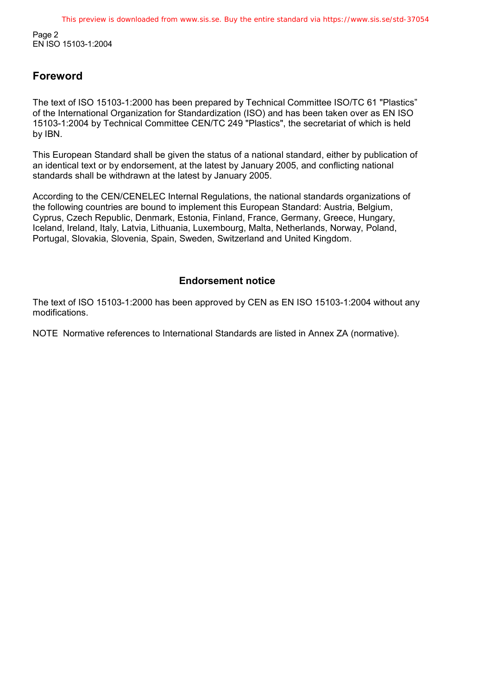Page 2 EN ISO 15103-1:2004

### **Foreword**

The text of ISO 15103-1:2000 has been prepared by Technical Committee ISO/TC 61 "Plastics" of the International Organization for Standardization (ISO) and has been taken over as EN ISO 15103-1:2004 by Technical Committee CEN/TC 249 "Plastics", the secretariat of which is held by IBN.

This European Standard shall be given the status of a national standard, either by publication of an identical text or by endorsement, at the latest by January 2005, and conflicting national standards shall be withdrawn at the latest by January 2005.

According to the CEN/CENELEC Internal Regulations, the national standards organizations of the following countries are bound to implement this European Standard: Austria, Belgium, Cyprus, Czech Republic, Denmark, Estonia, Finland, France, Germany, Greece, Hungary, Iceland, Ireland, Italy, Latvia, Lithuania, Luxembourg, Malta, Netherlands, Norway, Poland, Portugal, Slovakia, Slovenia, Spain, Sweden, Switzerland and United Kingdom.

### **Endorsement notice**

The text of ISO 15103-1:2000 has been approved by CEN as EN ISO 15103-1:2004 without any modifications.

NOTE Normative references to International Standards are listed in Annex ZA (normative).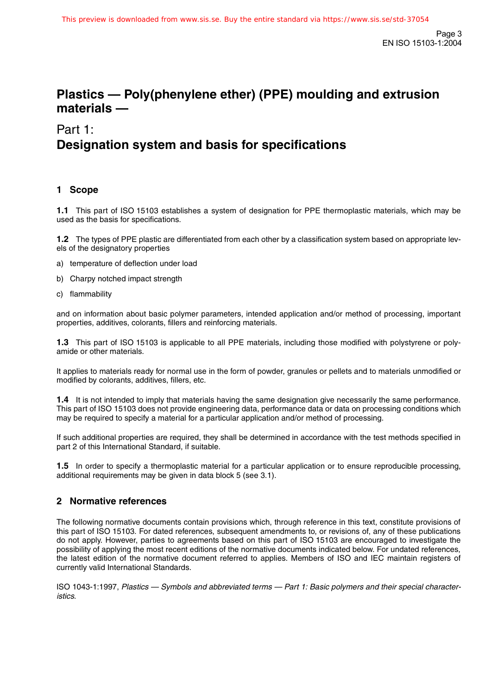### **Plastics — Poly(phenylene ether) (PPE) moulding and extrusion materials —**

### Part 1: **Designation system and basis for specifications**

### **1 Scope**

**1.1** This part of ISO 15103 establishes a system of designation for PPE thermoplastic materials, which may be used as the basis for specifications.

**1.2** The types of PPE plastic are differentiated from each other by a classification system based on appropriate levels of the designatory properties

- a) temperature of deflection under load
- b) Charpy notched impact strength
- c) flammability

and on information about basic polymer parameters, intended application and/or method of processing, important properties, additives, colorants, fillers and reinforcing materials.

**1.3** This part of ISO 15103 is applicable to all PPE materials, including those modified with polystyrene or polyamide or other materials.

It applies to materials ready for normal use in the form of powder, granules or pellets and to materials unmodified or modified by colorants, additives, fillers, etc.

**1.4** It is not intended to imply that materials having the same designation give necessarily the same performance. This part of ISO 15103 does not provide engineering data, performance data or data on processing conditions which may be required to specify a material for a particular application and/or method of processing.

If such additional properties are required, they shall be determined in accordance with the test methods specified in part 2 of this International Standard, if suitable.

**1.5** In order to specify a thermoplastic material for a particular application or to ensure reproducible processing, additional requirements may be given in data block 5 (see 3.1).

### **2 Normative references**

The following normative documents contain provisions which, through reference in this text, constitute provisions of this part of ISO 15103. For dated references, subsequent amendments to, or revisions of, any of these publications do not apply. However, parties to agreements based on this part of ISO 15103 are encouraged to investigate the possibility of applying the most recent editions of the normative documents indicated below. For undated references, the latest edition of the normative document referred to applies. Members of ISO and IEC maintain registers of currently valid International Standards.

ISO 1043-1:1997, Plastics — Symbols and abbreviated terms — Part 1: Basic polymers and their special characteristics.